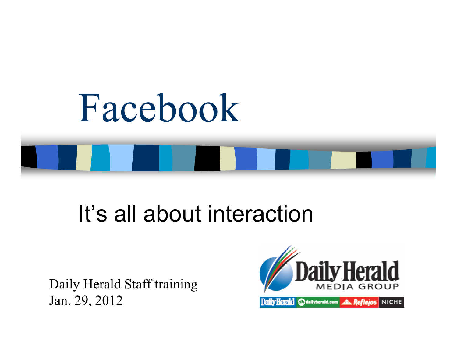

# It's all about interaction

Daily Herald Staff trainingJan. 29, 2012

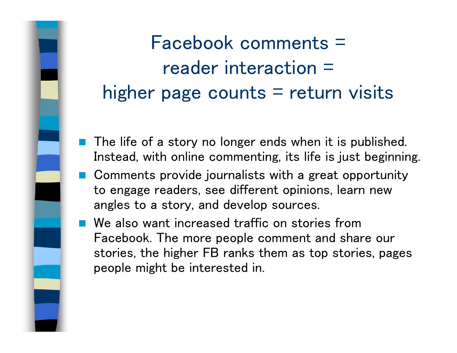Facebook comments =reader interaction = higher page counts  $=$  return visits

- The life of a story no longer ends when it is published. Instead, with online commenting, its life is just beginning.
- Comments provide journalists with a great opportunity to engage readers, see different opinions, learn new angles to a story, and develop sources.
- We also want increased traffic on stories from Facebook. The more people comment and share our stories, the higher FB ranks them as top stories, pages people might be interested in.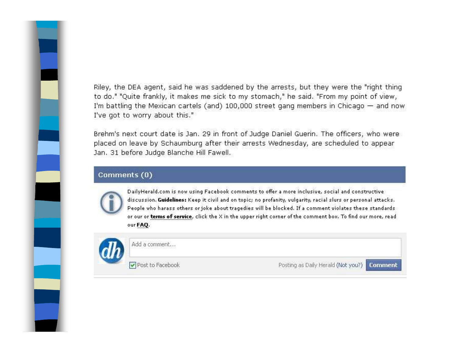Riley, the DEA agent, said he was saddened by the arrests, but they were the "right thing to do." "Quite frankly, it makes me sick to my stomach," he said. "From my point of view, I'm battling the Mexican cartels (and)  $100,000$  street gang members in Chicago  $-$  and now I've got to worry about this."

Brehm's next court date is Jan. 29 in front of Judge Daniel Guerin. The officers, who were placed on leave by Schaumburg after their arrests Wednesday, are scheduled to appear Jan. 31 before Judge Blanche Hill Fawell.

### Comments (0)



DailyHerald.com is now using Facebook comments to offer a more inclusive, social and constructive discussion. Guidelines: Keep it civil and on topic; no profanity, vulgarity, racial slurs or personal attacks. People who harass others or joke about tragedies will be blocked. If a comment violates these standards or our or terms of service, click the X in the upper right corner of the comment box. To find our more, read our FAQ.



Add a comment...

Post to Facebook

Posting as Daily Herald (Not you?)

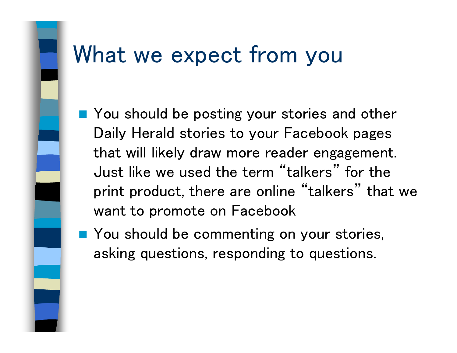### What we expect from you

- You should be posting your stories and other Daily Herald stories to your Facebook pages that will likely draw more reader engagement. Just like we used the term "talkers" for the print product, there are online "talkers" that we want to promote on Facebook
- You should be commenting on your stories, asking questions, responding to questions.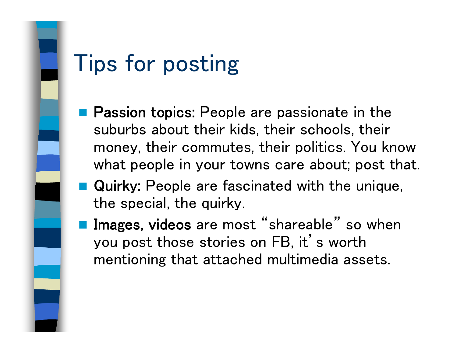

# Tips for posting

- **Passion topics: People are passionate in the Passion** suburbs about their kids, their schools, their money, their commutes, their politics. You know what people in your towns care about; post that.
- **Quirky: People are fascinated with the unique,** the special, the quirky.
- n<br>M Images, videos are most "shareable" so when you post those stories on FB, it's worth mentioning that attached multimedia assets.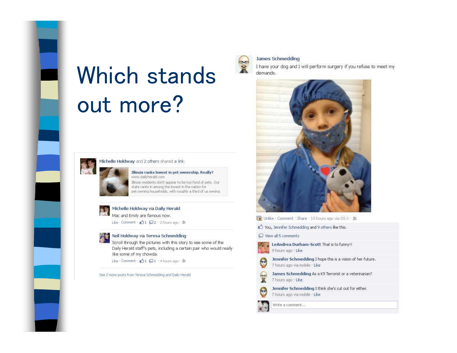# **Which stands** out more?



#### Michelle Holdway and 2 others shared a link.

Illinois ranks lowest in pet ownership. Really? www.dailyherald.com Illinois residents don't appear to be too fond of pets. Our state ranks in among the lowest in the nation for pet-owning households, with roughly a third of us owning



#### Michelle Holdway via Daily Herald

Mac and Emily are famous now.

Like Comment : 01 2 2 2 hours ago . M



Scroll through the pictures with this story to see some of the Daily Herald staff's pets, including a certain pair who would really like some of my chowda.

Like Comment : 01 Q1 +4 hours ago + M

See 2 more posts from Teresa Schmedding and Daily Herald



#### **James Schmedding**

I have your dog and I will perform surgery if you refuse to meet my demands.



Dinlike : Comment : Share : 10 hours ago via OS X · 劇

Vou, Jennifer Schmedding and 9 others like this.

View all 5 comments



 $\tilde{\mathbf{x}}$ 

Э

LeAndrea Durham-Scott That is to funny!! 9 hours ago + Like



Jennifer Schmedding I hope this is a vision of her future. 7 hours ago via mobile · Like

James Schmedding As a K9 Terrorist or a veterinarian? 7 hours ago . Like

Jennifer Schmedding I think she's cut out for either. 7 hours ago via mobile · Like

Write a comment...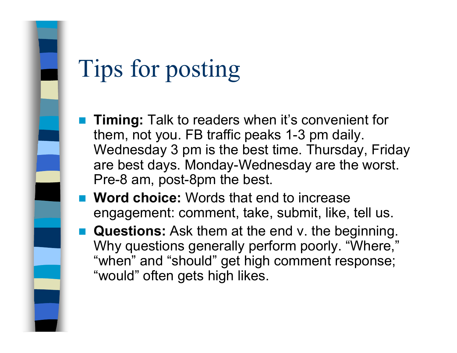# Tips for posting

- $\mathbb{R}^n$  **Timing:** Talk to readers when it's convenient for them, not you. FB traffic peaks 1-3 pm daily. Wednesday 3 pm is the best time. Thursday, Friday are best days. Monday-Wednesday are the worst. Pre-8 am, post-8pm the best.
- **Word choice:** Words that end to increase engagement: comment, take, submit, like, tell us.
- $\mathbb{R}^n$  **Questions:** Ask them at the end v. the beginning. Why questions generally perform poorly. "Where," "when" and "should" get high comment response; "would" often gets high likes.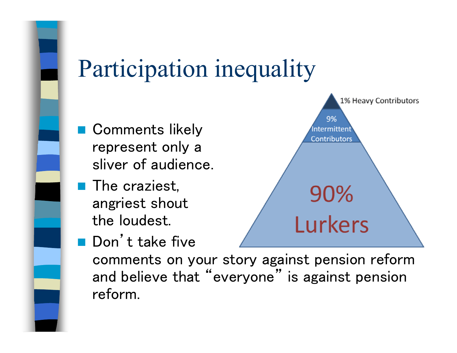

# Participation inequality

- Comments likely represent only asliver of audience.
- **The craziest,** angriest shoutthe loudest.



**Don't take five** comments on your story against pension reform and believe that "everyone" is against pension reform.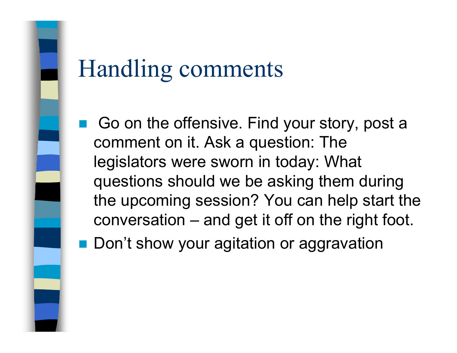Go on the offensive. Find your story, post a comment on it. Ask a question: The legislators were sworn in today: What questions should we be asking them during the upcoming session? You can help start the conversation – and get it off on the right foot.

■ Don't show your agitation or aggravation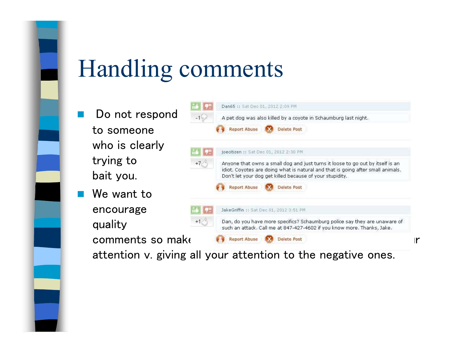- $\mathbb{R}^2$  Do not respond to someone who is clearlytrying tobait you.
- $\mathbb{R}^2$  We want to encourage quality



attention v. giving all your attention to the negative ones.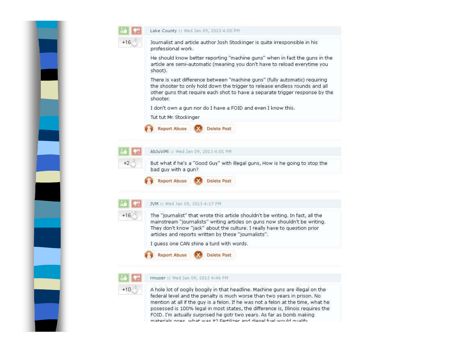

|       | Lake County :: Wed Jan 09, 2013 4:00 PM                                                                                                                                                                                                                                                                                                                       |
|-------|---------------------------------------------------------------------------------------------------------------------------------------------------------------------------------------------------------------------------------------------------------------------------------------------------------------------------------------------------------------|
|       | Journalist and article author Josh Stockinger is quite irresponsible in his<br>professional work.                                                                                                                                                                                                                                                             |
|       | He should know better reporting "machine guns" when in fact the guns in the<br>article are semi-automatic (meaning you don't have to reload everytime you<br>shoot).                                                                                                                                                                                          |
|       | There is vast difference between "machine guns" (fully automatic) requiring<br>the shooter to only hold down the trigger to release endless rounds and all<br>other guns that require each shot to have a separate trigger response by the<br>shooter.                                                                                                        |
|       | I don't own a gun nor do I have a FOID and even I know this.                                                                                                                                                                                                                                                                                                  |
|       | Tut tut Mr. Stockinger                                                                                                                                                                                                                                                                                                                                        |
|       | <b>Report Abuse</b><br>Delete Post                                                                                                                                                                                                                                                                                                                            |
|       | AbJuViMi :: Wed Jan 09, 2013 4:01 PM                                                                                                                                                                                                                                                                                                                          |
| +2    | But what if he's a "Good Guy" with illegal guns, How is he going to stop the<br>bad guy with a gun?                                                                                                                                                                                                                                                           |
|       | <b>Report Abuse</b><br>Delete Pos                                                                                                                                                                                                                                                                                                                             |
|       | JVM :: Wed Jan 09, 2013 4:17 PM                                                                                                                                                                                                                                                                                                                               |
| $+16$ | The "journalist" that wrote this article shouldn't be writing. In fact, all the<br>mainstream "journalists" writing articles on guns now shouldn't be writing.<br>They don't know "jack" about the culture. I really have to question prior<br>articles and reports written by these "journalists".                                                           |
|       | I guess one CAN shine a turd with words.                                                                                                                                                                                                                                                                                                                      |
|       | Report Abuse<br>Delete Pos                                                                                                                                                                                                                                                                                                                                    |
|       | rmuser :: Wed Jan 09, 2013 4:46 PM                                                                                                                                                                                                                                                                                                                            |
| $+10$ | A hole lot of oogily boogily in that headline. Machine guns are illegal on the<br>federal level and the penalty is much worse than two years in prison. No<br>mention at all if the guy is a felon. If he was not a felon at the time, what he<br>$\mathcal{L}$ is a contract of the second contract of $\mathcal{L}$ is the second contract of $\mathcal{L}$ |

posessed is 100% legal in most states, the difference is, Illinois requires the FOID. I'm actually surprised he gotr two years. As far as bomb making materiale none what was it? Fertilizer and diesel filel would qualify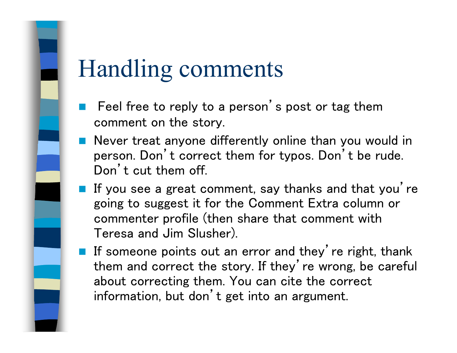- $\mathbb{R}^n$  Feel free to reply to a person's post or tag them comment on the story.
- Never treat anyone differently online than you would in person. Don't correct them for typos. Don't be rude. Don't cut them off.
- If you see a great comment, say thanks and that you're going to suggest it for the Comment Extra column orcommenter profile (then share that comment with Teresa and Jim Slusher).
- If someone points out an error and they're right, thank them and correct the story. If they' re wrong, be careful about correcting them. You can cite the correct information, but don't get into an argument.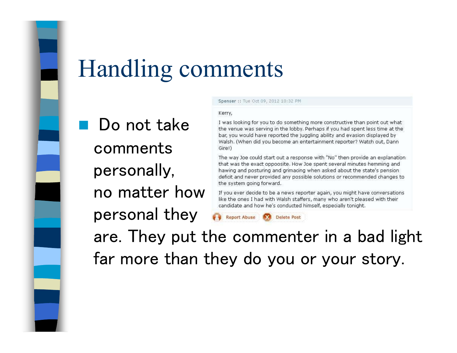**Service Service**  Do not take comments personally, no matter howpersonal they

### Spenser :: Tue Oct 09, 2012 10:32 PM

### Kerry,

I was looking for you to do something more constructive than point out what the venue was serving in the lobby. Perhaps if you had spent less time at the bar, you would have reported the juggling ability and evasion displayed by Walsh. (When did you become an entertainment reporter? Watch out, Dann Gire!)

The way Joe could start out a response with "No" then provide an explanation that was the exact oppoosite. How Joe spent several minutes hemming and hawing and posturing and grimacing when asked about the state's pension deficit and never provided any possible solutions or recommended changes to the system going forward.

If you ever decide to be a news reporter again, you might have conversations like the ones I had with Walsh staffers, many who aren't pleased with their candidate and how he's conducted himself, especially tonight.

**Report Abuse Delete Post** 

 are. They put the commenter in a bad light far more than they do you or your story.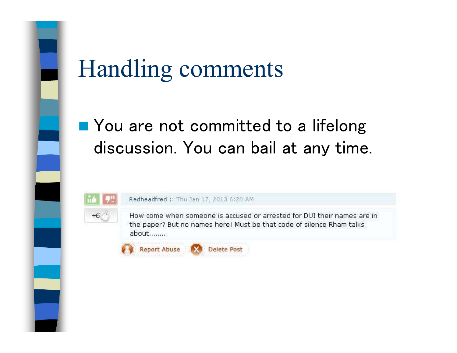### ■ You are not committed to a lifelong discussion. You can bail at any time.



Redheadfred :: Thu Jan 17, 2013 6:20 AM

How come when someone is accused or arrested for DUI their names are in the paper? But no names here! Must be that code of silence Rham talks about........